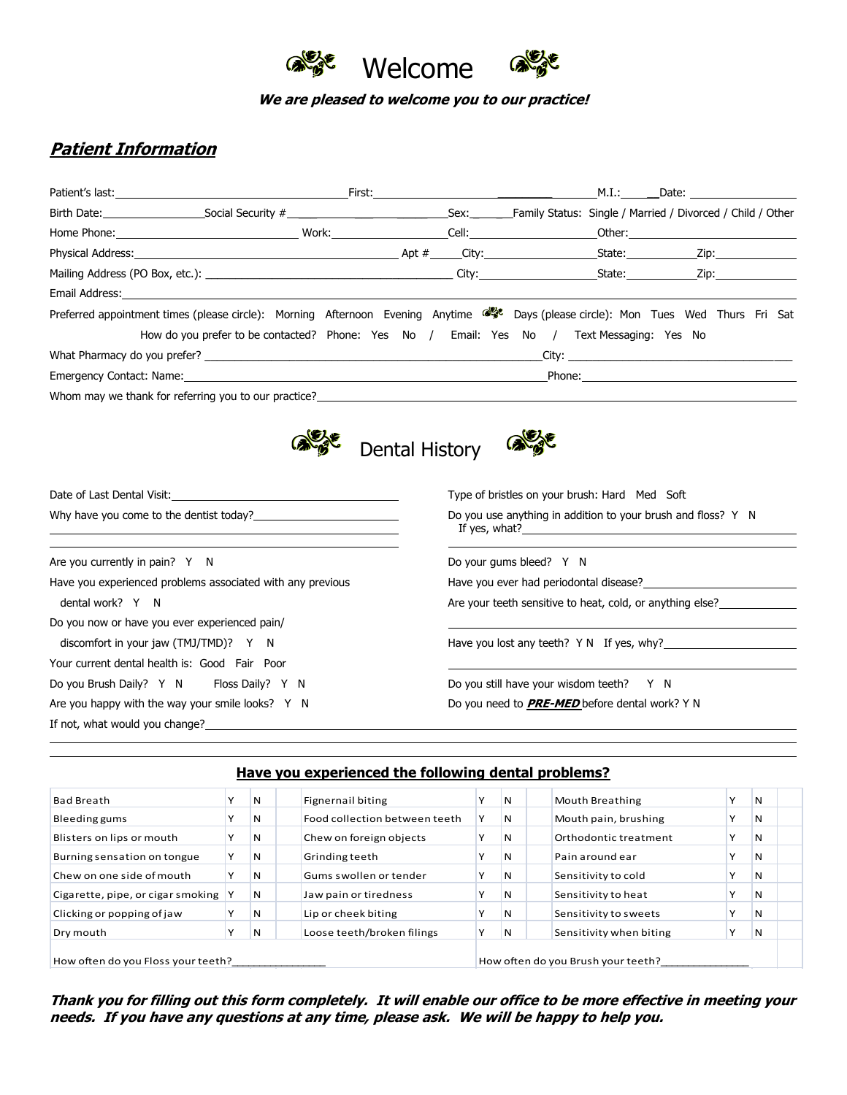

**We are pleased to welcome you to our practice!**

# **Patient Information**

|                                | Patient's last: The Communication of the Communication of the Communication of the Communication of the Communication of the Communication of the Communication of the Communication of the Communication of the Communication |                       |                                                       | M.I.: | Date: the contract of the contract of the contract of the contract of the contract of the contract of the contract of the contract of the contract of the contract of the contract of the contract of the contract of the cont |  |
|--------------------------------|--------------------------------------------------------------------------------------------------------------------------------------------------------------------------------------------------------------------------------|-----------------------|-------------------------------------------------------|-------|--------------------------------------------------------------------------------------------------------------------------------------------------------------------------------------------------------------------------------|--|
|                                |                                                                                                                                                                                                                                |                       |                                                       |       |                                                                                                                                                                                                                                |  |
|                                |                                                                                                                                                                                                                                |                       |                                                       |       |                                                                                                                                                                                                                                |  |
|                                |                                                                                                                                                                                                                                |                       |                                                       |       |                                                                                                                                                                                                                                |  |
|                                |                                                                                                                                                                                                                                |                       |                                                       |       |                                                                                                                                                                                                                                |  |
|                                |                                                                                                                                                                                                                                |                       |                                                       |       |                                                                                                                                                                                                                                |  |
|                                | Preferred appointment times (please circle): Morning Afternoon Evening Anytime st Days (please circle): Mon Tues Wed Thurs Fri Sat                                                                                             |                       |                                                       |       |                                                                                                                                                                                                                                |  |
|                                | How do you prefer to be contacted? Phone: Yes No / Email: Yes No / Text Messaging: Yes No                                                                                                                                      |                       |                                                       |       |                                                                                                                                                                                                                                |  |
|                                | What Pharmacy do you prefer? Notice that the contract of the contract of the City:                                                                                                                                             |                       |                                                       |       |                                                                                                                                                                                                                                |  |
|                                | Emergency Contact: Name: Name and Name and Name and Name and Name and Name and Name and Name and Name and Name and Name and Name and Name and Name and Name and Name and Name and Name and Name and Name and Name and Name and |                       |                                                       |       |                                                                                                                                                                                                                                |  |
|                                | Whom may we thank for referring you to our practice?<br>Whom may we thank for referring you to our practice?                                                                                                                   |                       |                                                       |       |                                                                                                                                                                                                                                |  |
|                                |                                                                                                                                                                                                                                | <b>Dental History</b> |                                                       |       |                                                                                                                                                                                                                                |  |
|                                | Date of Last Dental Visit: No. 1996. The Contract of Last Dental Visit:<br>Why have you come to the dentist today?                                                                                                             |                       | Type of bristles on your brush: Hard Med Soft         |       | Do you use anything in addition to your brush and floss? Y N                                                                                                                                                                   |  |
|                                |                                                                                                                                                                                                                                |                       |                                                       |       | If yes, what?                                                                                                                                                                                                                  |  |
| Are you currently in pain? Y N |                                                                                                                                                                                                                                |                       | Do your gums bleed? Y N                               |       |                                                                                                                                                                                                                                |  |
|                                | Have you experienced problems associated with any previous                                                                                                                                                                     |                       |                                                       |       | Have you ever had periodontal disease?                                                                                                                                                                                         |  |
| dental work? Y N               |                                                                                                                                                                                                                                |                       |                                                       |       | Are your teeth sensitive to heat, cold, or anything else?                                                                                                                                                                      |  |
|                                | Do you now or have you ever experienced pain/                                                                                                                                                                                  |                       |                                                       |       |                                                                                                                                                                                                                                |  |
|                                | discomfort in your jaw (TMJ/TMD)? Y N                                                                                                                                                                                          |                       |                                                       |       | Have you lost any teeth? Y N If yes, why?                                                                                                                                                                                      |  |
|                                | Your current dental health is: Good Fair Poor                                                                                                                                                                                  |                       |                                                       |       |                                                                                                                                                                                                                                |  |
|                                | Do you Brush Daily? Y N Floss Daily? Y N                                                                                                                                                                                       |                       | Do you still have your wisdom teeth? Y N              |       |                                                                                                                                                                                                                                |  |
|                                | Are you happy with the way your smile looks? Y N                                                                                                                                                                               |                       | Do you need to <b>PRE-MED</b> before dental work? Y N |       |                                                                                                                                                                                                                                |  |

| Have you experienced the following dental problems?                      |              |   |                               |  |   |                         |              |    |
|--------------------------------------------------------------------------|--------------|---|-------------------------------|--|---|-------------------------|--------------|----|
| <b>Bad Breath</b>                                                        | $\checkmark$ | N | <b>Fignernail biting</b>      |  | N | <b>Mouth Breathing</b>  |              | N  |
| Bleeding gums                                                            |              | N | Food collection between teeth |  | N | Mouth pain, brushing    |              | N  |
| Blisters on lips or mouth                                                |              | N | Chew on foreign objects       |  | N | Orthodontic treatment   |              | N  |
| Burning sensation on tongue                                              | ν            | N | Grinding teeth                |  | N | Pain around ear         |              | 'N |
| Chew on one side of mouth                                                |              | N | Gums swollen or tender        |  | N | Sensitivity to cold     |              | N  |
| Cigarette, pipe, or cigar smoking                                        |              | N | Jaw pain or tiredness         |  | N | Sensitivity to heat     | Υ            | N  |
| Clicking or popping of jaw                                               |              | N | Lip or cheek biting           |  | N | Sensitivity to sweets   | $\checkmark$ | N  |
| Dry mouth                                                                |              | N | Loose teeth/broken filings    |  | N | Sensitivity when biting | ٧            | N  |
| How often do you Brush your teeth?<br>How often do you Floss your teeth? |              |   |                               |  |   |                         |              |    |

**Thank you for filling out this form completely. It will enable our office to be more effective in meeting your needs. If you have any questions at any time, please ask. We will be happy to help you.**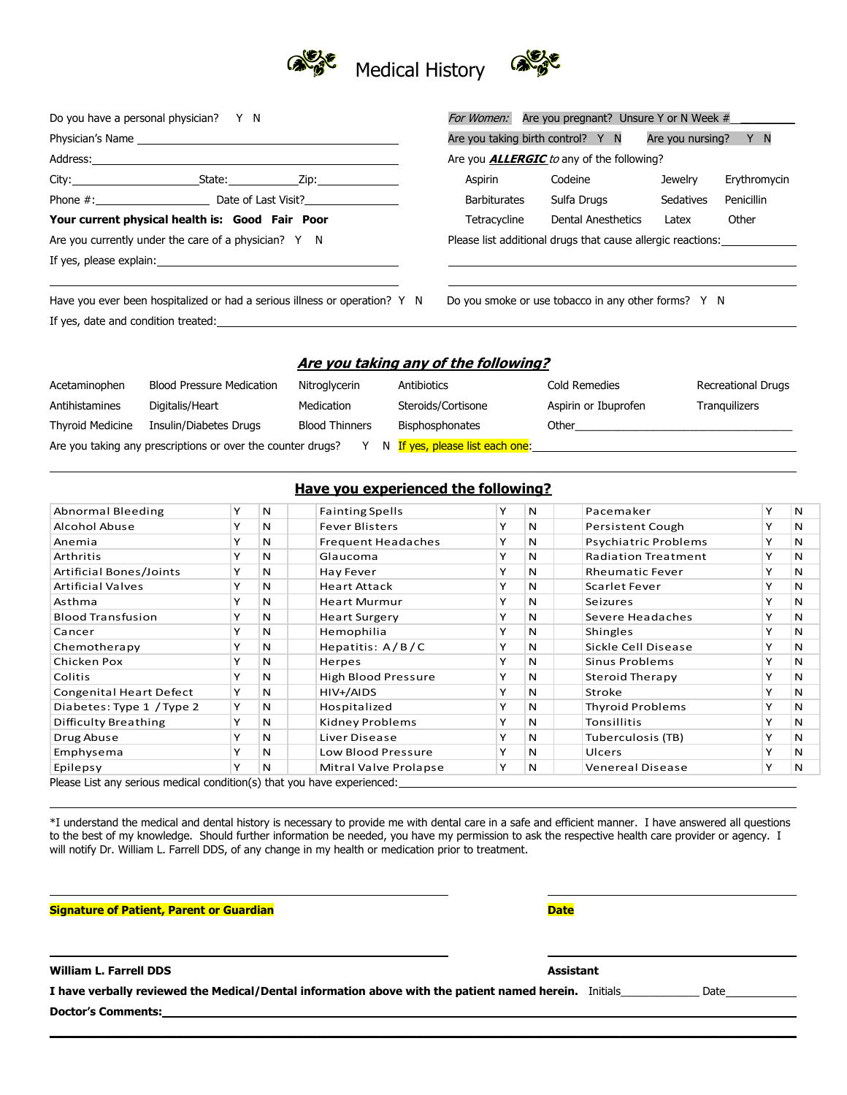

|                                                                                               | Do you have a personal physician? Y N                                                                                                                                                                                         |                                                  | For Women: Are you pregnant? Unsure Y or N Week #         |                                      |                                                                                  |           |                           |  |
|-----------------------------------------------------------------------------------------------|-------------------------------------------------------------------------------------------------------------------------------------------------------------------------------------------------------------------------------|--------------------------------------------------|-----------------------------------------------------------|--------------------------------------|----------------------------------------------------------------------------------|-----------|---------------------------|--|
|                                                                                               |                                                                                                                                                                                                                               |                                                  | Are you taking birth control? Y N<br>Are you nursing? Y N |                                      |                                                                                  |           |                           |  |
|                                                                                               |                                                                                                                                                                                                                               | Are you <b>ALLERGIC</b> to any of the following? |                                                           |                                      |                                                                                  |           |                           |  |
|                                                                                               | City: City: City: City: City: City: City: City: City: City: City: City: City: City: City: City: City: City: City: City: City: City: City: City: City: City: City: City: City: City: City: City: City: City: City: City: City: |                                                  |                                                           | Aspirin                              | Codeine                                                                          | Jewelry   | Erythromycin              |  |
|                                                                                               | Phone #: Date of Last Visit?                                                                                                                                                                                                  |                                                  |                                                           | <b>Barbiturates</b>                  | Sulfa Drugs                                                                      | Sedatives | Penicillin                |  |
|                                                                                               | Your current physical health is: Good Fair Poor                                                                                                                                                                               | Tetracycline                                     | Dental Anesthetics                                        | Latex                                | Other                                                                            |           |                           |  |
| Are you currently under the care of a physician? $Y \cap N$                                   |                                                                                                                                                                                                                               |                                                  |                                                           |                                      | Please list additional drugs that cause allergic reactions: ____________________ |           |                           |  |
|                                                                                               |                                                                                                                                                                                                                               |                                                  |                                                           |                                      |                                                                                  |           |                           |  |
|                                                                                               | Have you ever been hospitalized or had a serious illness or operation? Y N                                                                                                                                                    |                                                  |                                                           |                                      | Do you smoke or use tobacco in any other forms? Y N                              |           |                           |  |
|                                                                                               | If yes, date and condition treated: The manufacturer of the state of the state of the state of the state of the state of the state of the state of the state of the state of the state of the state of the state of the state |                                                  |                                                           |                                      |                                                                                  |           |                           |  |
|                                                                                               |                                                                                                                                                                                                                               |                                                  |                                                           | Are you taking any of the following? |                                                                                  |           |                           |  |
| Acetaminophen                                                                                 | <b>Blood Pressure Medication</b>                                                                                                                                                                                              | Nitroglycerin                                    | Antibiotics                                               |                                      | Cold Remedies                                                                    |           | <b>Recreational Drugs</b> |  |
| Antihistamines                                                                                | Digitalis/Heart                                                                                                                                                                                                               | Medication                                       |                                                           | Steroids/Cortisone                   | Aspirin or Ibuprofen                                                             |           | Tranquilizers             |  |
| Insulin/Diabetes Drugs<br><b>Blood Thinners</b><br><b>Thyroid Medicine</b><br>Bisphosphonates |                                                                                                                                                                                                                               |                                                  |                                                           |                                      | Other                                                                            |           |                           |  |

### **Have you experienced the following?**

Are you taking any prescriptions or over the counter drugs?  $\forall$  N If yes, please list each one:

| Abnormal Bleeding                                                       | Y | N | <b>Fainting Spells</b>     | Y | N            | Pacemaker                  | Y | N |
|-------------------------------------------------------------------------|---|---|----------------------------|---|--------------|----------------------------|---|---|
| Alcohol Abuse                                                           | Υ | N | <b>Fever Blisters</b>      | Y | N            | Persistent Cough           | Y | N |
| Anemia                                                                  | Y | N | <b>Frequent Headaches</b>  |   | N            | Psychiatric Problems       | Y | N |
| Arthritis                                                               | Y | N | Glaucoma                   | Y | N            | <b>Radiation Treatment</b> | Y | N |
| Artificial Bones/Joints                                                 | Y | N | Hay Fever                  | Y | N            | <b>Rheumatic Fever</b>     | Y | N |
| <b>Artificial Valves</b>                                                | Y | N | <b>Heart Attack</b>        | Y | N            | Scarlet Fever              | Y | N |
| Asthma                                                                  | Y | N | <b>Heart Murmur</b>        | Y | $\mathsf{N}$ | Seizures                   | Y | N |
| <b>Blood Transfusion</b>                                                | Y | N | <b>Heart Surgery</b>       | Y | $\mathsf{N}$ | Severe Headaches           | Y | N |
| Cancer                                                                  | Y | N | Hemophilia                 | Y | N            | Shingles                   | Y | N |
| Chemotherapy                                                            | Y | N | Hepatitis: $A/B/C$         | Y | N            | Sickle Cell Disease        | Y | N |
| Chicken Pox                                                             | Y | N | Herpes                     | Y | N            | Sinus Problems             | Y | N |
| <b>Colitis</b>                                                          | Y | N | <b>High Blood Pressure</b> | Y | N            | Steroid Therapy            | Y | N |
| <b>Congenital Heart Defect</b>                                          | Y | N | HIV+/AIDS                  | Y | N            | Stroke                     | Y | N |
| Diabetes: Type 1 / Type 2                                               | Y | N | Hospitalized               | Y | N            | <b>Thyroid Problems</b>    | Y | N |
| Difficulty Breathing                                                    | Y | N | Kidney Problems            | Y | N            | Tonsillitis                | Y | N |
| Drug Abuse                                                              | Y | N | Liver Disease              | Y | N            | Tuberculosis (TB)          | Y | N |
| Emphysema                                                               | Y | N | <b>Low Blood Pressure</b>  | Y | N            | Ulcers                     | Y | N |
| Epilepsy                                                                | Y | N | Mitral Valve Prolapse      | Y | N            | <b>Venereal Disease</b>    | Y | N |
| Please List any serious medical condition(s) that you have experienced: |   |   |                            |   |              |                            |   |   |

\*I understand the medical and dental history is necessary to provide me with dental care in a safe and efficient manner. I have answered all questions to the best of my knowledge. Should further information be needed, you have my permission to ask the respective health care provider or agency. I will notify Dr. William L. Farrell DDS, of any change in my health or medication prior to treatment.

#### **Signature of Patient, Parent or Guardian Date**

**William L. Farrell DDS Assistant** 

**I have verbally reviewed the Medical/Dental information above with the patient named herein.** Initials\_\_\_\_\_\_\_\_\_\_\_\_\_ Date **Doctor's Comments:**

**\_\_\_\_\_\_\_\_\_\_\_\_\_\_\_\_\_\_\_\_\_\_\_\_\_\_\_\_\_\_\_\_\_\_\_\_\_\_\_\_\_\_\_\_\_\_\_\_\_\_\_\_\_\_\_\_\_\_\_\_\_\_\_\_\_\_\_\_\_\_\_\_\_\_\_\_\_\_\_\_\_\_\_\_\_\_\_\_\_\_\_\_\_\_\_\_\_\_\_\_\_\_\_\_\_\_**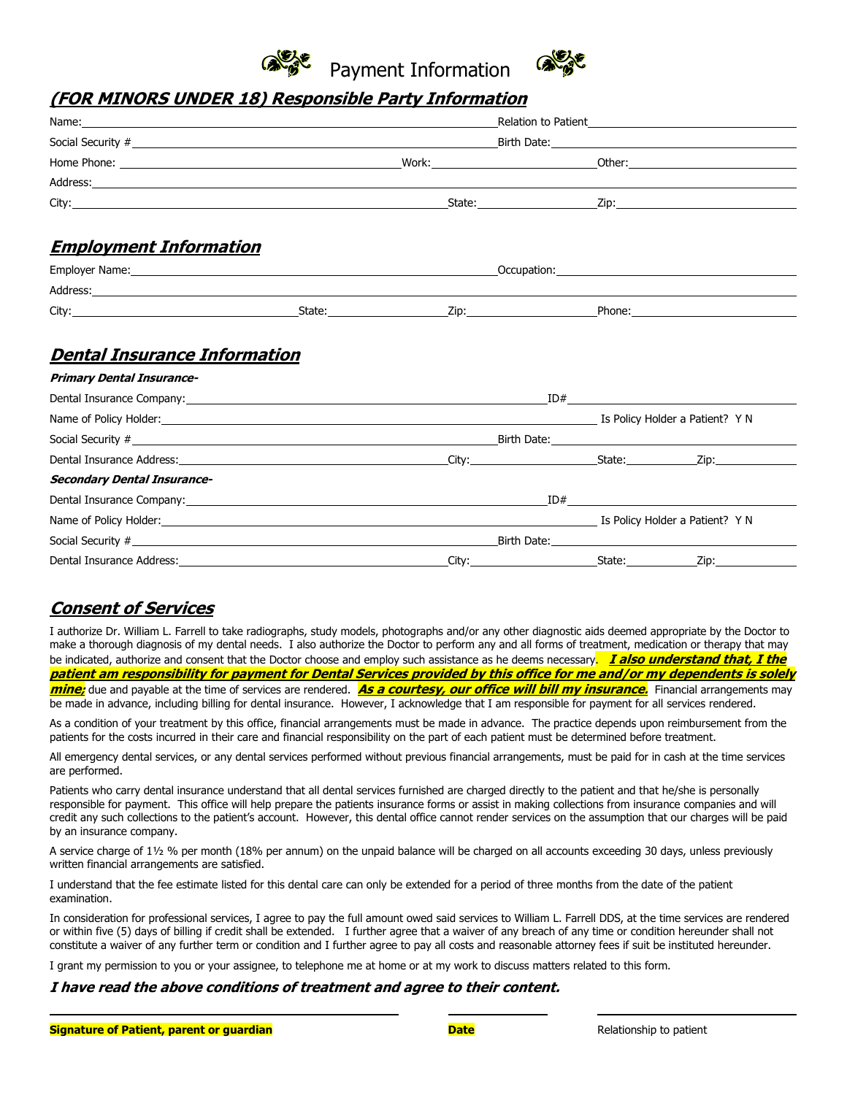



## **(FOR MINORS UNDER 18) Responsible Party Information**

| Name: Name and the second contract of the second contract of the second contract of the second contract of the second contract of the second contract of the second contract of the second contract of the second contract of |  |  |                                                                                                                                                                                                                               |  |  |
|-------------------------------------------------------------------------------------------------------------------------------------------------------------------------------------------------------------------------------|--|--|-------------------------------------------------------------------------------------------------------------------------------------------------------------------------------------------------------------------------------|--|--|
|                                                                                                                                                                                                                               |  |  |                                                                                                                                                                                                                               |  |  |
|                                                                                                                                                                                                                               |  |  |                                                                                                                                                                                                                               |  |  |
|                                                                                                                                                                                                                               |  |  |                                                                                                                                                                                                                               |  |  |
|                                                                                                                                                                                                                               |  |  |                                                                                                                                                                                                                               |  |  |
| <b>Employment Information</b>                                                                                                                                                                                                 |  |  | Employer Name: 1990 and 2001 and 2008 and 2009 and 2008 and 2009 and 2009 and 2009 and 2009 and 2009 and 2009 and 2009 and 2009 and 2009 and 2009 and 2009 and 2009 and 2009 and 2009 and 2009 and 2009 and 2009 and 2009 and |  |  |
|                                                                                                                                                                                                                               |  |  |                                                                                                                                                                                                                               |  |  |
|                                                                                                                                                                                                                               |  |  |                                                                                                                                                                                                                               |  |  |
| <b>Dental Insurance Information</b>                                                                                                                                                                                           |  |  |                                                                                                                                                                                                                               |  |  |

### **Primary Dental Insurance-**

|                                                                           | Name of Policy Holder: 1999 Manne of Policy Holder: 1999 Manne of Policy Holder a Patient? YN |  |                                                                                                                                                                                                                                      |  |
|---------------------------------------------------------------------------|-----------------------------------------------------------------------------------------------|--|--------------------------------------------------------------------------------------------------------------------------------------------------------------------------------------------------------------------------------------|--|
|                                                                           |                                                                                               |  |                                                                                                                                                                                                                                      |  |
|                                                                           |                                                                                               |  |                                                                                                                                                                                                                                      |  |
| <b>Secondary Dental Insurance-</b>                                        |                                                                                               |  |                                                                                                                                                                                                                                      |  |
|                                                                           |                                                                                               |  |                                                                                                                                                                                                                                      |  |
| Name of Policy Holder: The Maria Contract of Policy Holder a Patient? Y N |                                                                                               |  |                                                                                                                                                                                                                                      |  |
|                                                                           |                                                                                               |  | Birth Date: <u>Alexander State and State and State and State and State and State and State and State and State and State and State and State and State and State and State and State and State and State and State and State and</u> |  |
|                                                                           |                                                                                               |  |                                                                                                                                                                                                                                      |  |
|                                                                           |                                                                                               |  |                                                                                                                                                                                                                                      |  |

## **Consent of Services**

I authorize Dr. William L. Farrell to take radiographs, study models, photographs and/or any other diagnostic aids deemed appropriate by the Doctor to make a thorough diagnosis of my dental needs. I also authorize the Doctor to perform any and all forms of treatment, medication or therapy that may be indicated, authorize and consent that the Doctor choose and employ such assistance as he deems necessary. **I also understand that, I the patient am responsibility for payment for Dental Services provided by this office for me and/or my dependents is solely mine;** due and payable at the time of services are rendered. **As a courtesy, our office will bill my insurance.** Financial arrangements may be made in advance, including billing for dental insurance. However, I acknowledge that I am responsible for payment for all services rendered.

As a condition of your treatment by this office, financial arrangements must be made in advance. The practice depends upon reimbursement from the patients for the costs incurred in their care and financial responsibility on the part of each patient must be determined before treatment.

All emergency dental services, or any dental services performed without previous financial arrangements, must be paid for in cash at the time services are performed.

Patients who carry dental insurance understand that all dental services furnished are charged directly to the patient and that he/she is personally responsible for payment. This office will help prepare the patients insurance forms or assist in making collections from insurance companies and will credit any such collections to the patient's account. However, this dental office cannot render services on the assumption that our charges will be paid by an insurance company.

A service charge of 1½ % per month (18% per annum) on the unpaid balance will be charged on all accounts exceeding 30 days, unless previously written financial arrangements are satisfied.

I understand that the fee estimate listed for this dental care can only be extended for a period of three months from the date of the patient examination.

In consideration for professional services, I agree to pay the full amount owed said services to William L. Farrell DDS, at the time services are rendered or within five (5) days of billing if credit shall be extended. I further agree that a waiver of any breach of any time or condition hereunder shall not constitute a waiver of any further term or condition and I further agree to pay all costs and reasonable attorney fees if suit be instituted hereunder.

I grant my permission to you or your assignee, to telephone me at home or at my work to discuss matters related to this form.

#### **I have read the above conditions of treatment and agree to their content.**